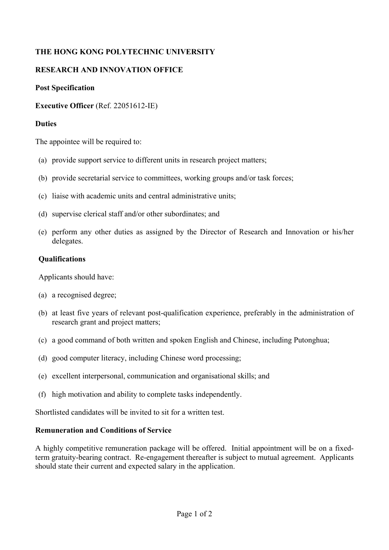# **THE HONG KONG POLYTECHNIC UNIVERSITY**

## **RESEARCH AND INNOVATION OFFICE**

### **Post Specification**

### **Executive Officer** (Ref. 22051612-IE)

#### **Duties**

The appointee will be required to:

- (a) provide support service to different units in research project matters;
- (b) provide secretarial service to committees, working groups and/or task forces;
- (c) liaise with academic units and central administrative units;
- (d) supervise clerical staff and/or other subordinates; and
- (e) perform any other duties as assigned by the Director of Research and Innovation or his/her delegates.

#### **Qualifications**

Applicants should have:

- (a) a recognised degree;
- (b) at least five years of relevant post-qualification experience, preferably in the administration of research grant and project matters;
- (c) a good command of both written and spoken English and Chinese, including Putonghua;
- (d) good computer literacy, including Chinese word processing;
- (e) excellent interpersonal, communication and organisational skills; and
- (f) high motivation and ability to complete tasks independently.

Shortlisted candidates will be invited to sit for a written test.

#### **Remuneration and Conditions of Service**

A highly competitive remuneration package will be offered. Initial appointment will be on a fixedterm gratuity-bearing contract. Re-engagement thereafter is subject to mutual agreement. Applicants should state their current and expected salary in the application.